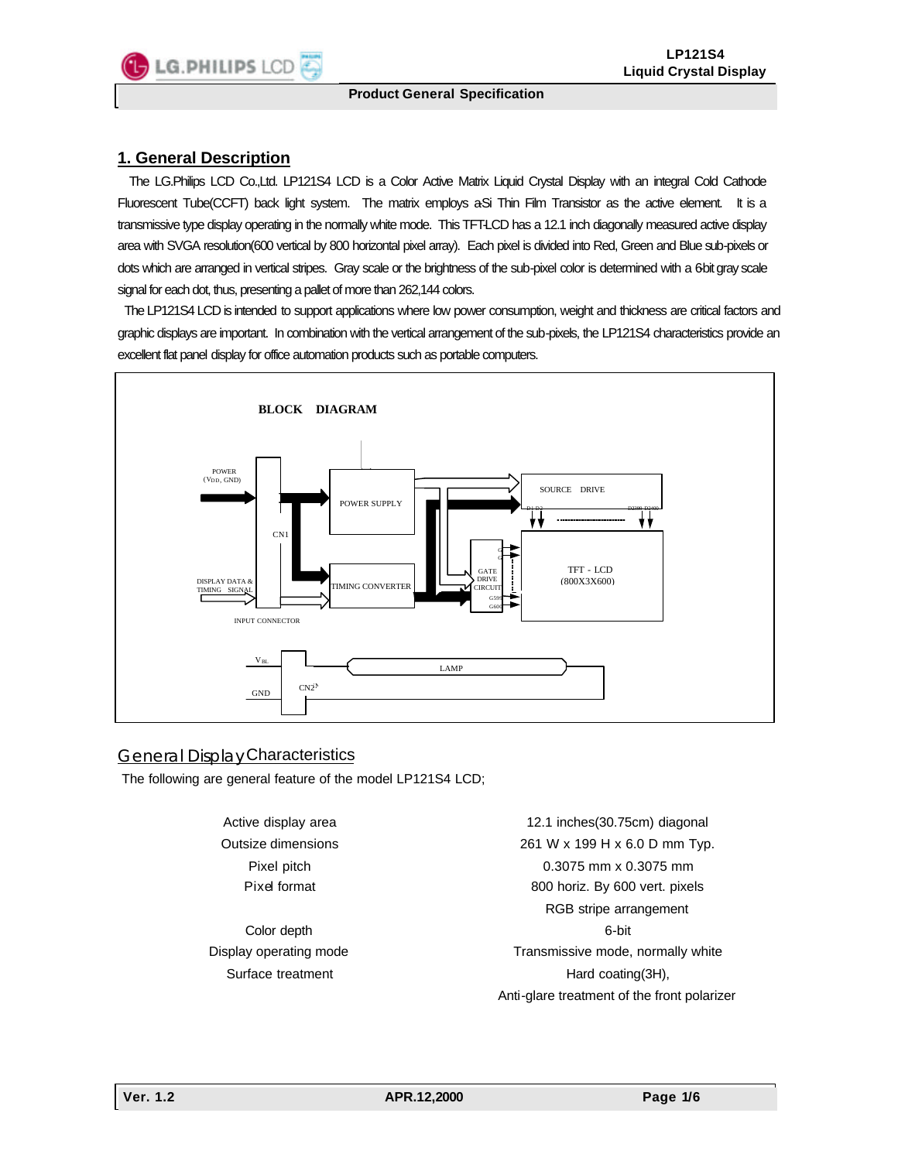## **1. General Description**

 The LG.Philips LCD Co.,Ltd. LP121S4 LCD is a Color Active Matrix Liquid Crystal Display with an integral Cold Cathode Fluorescent Tube(CCFT) back light system. The matrix employs aSi Thin Film Transistor as the active element. It is a transmissive type display operating in the normally white mode. This TFT-LCD has a 12.1 inch diagonally measured active display area with SVGA resolution(600 vertical by 800 horizontal pixel array). Each pixel is divided into Red, Green and Blue sub-pixels or dots which are arranged in vertical stripes. Gray scale or the brightness of the sub-pixel color is determined with a 6-bit gray scale signal for each dot, thus, presenting a pallet of more than 262,144 colors.

 The LP121S4 LCD is intended to support applications where low power consumption, weight and thickness are critical factors and graphic displays are important. In combination with the vertical arrangement of the sub-pixels, the LP121S4 characteristics provide an excellent flat panel display for office automation products such as portable computers.



### General Display Characteristics

The following are general feature of the model LP121S4 LCD;

Active display area Outsize dimensions Pixel pitch Pixel format

Color depth Display operating mode Surface treatment

12.1 inches(30.75cm) diagonal 261 W x 199 H x 6.0 D mm Typ. 0.3075 mm x 0.3075 mm 800 horiz. By 600 vert. pixels RGB stripe arrangement 6-bit Transmissive mode, normally white Hard coating(3H), Anti-glare treatment of the front polarizer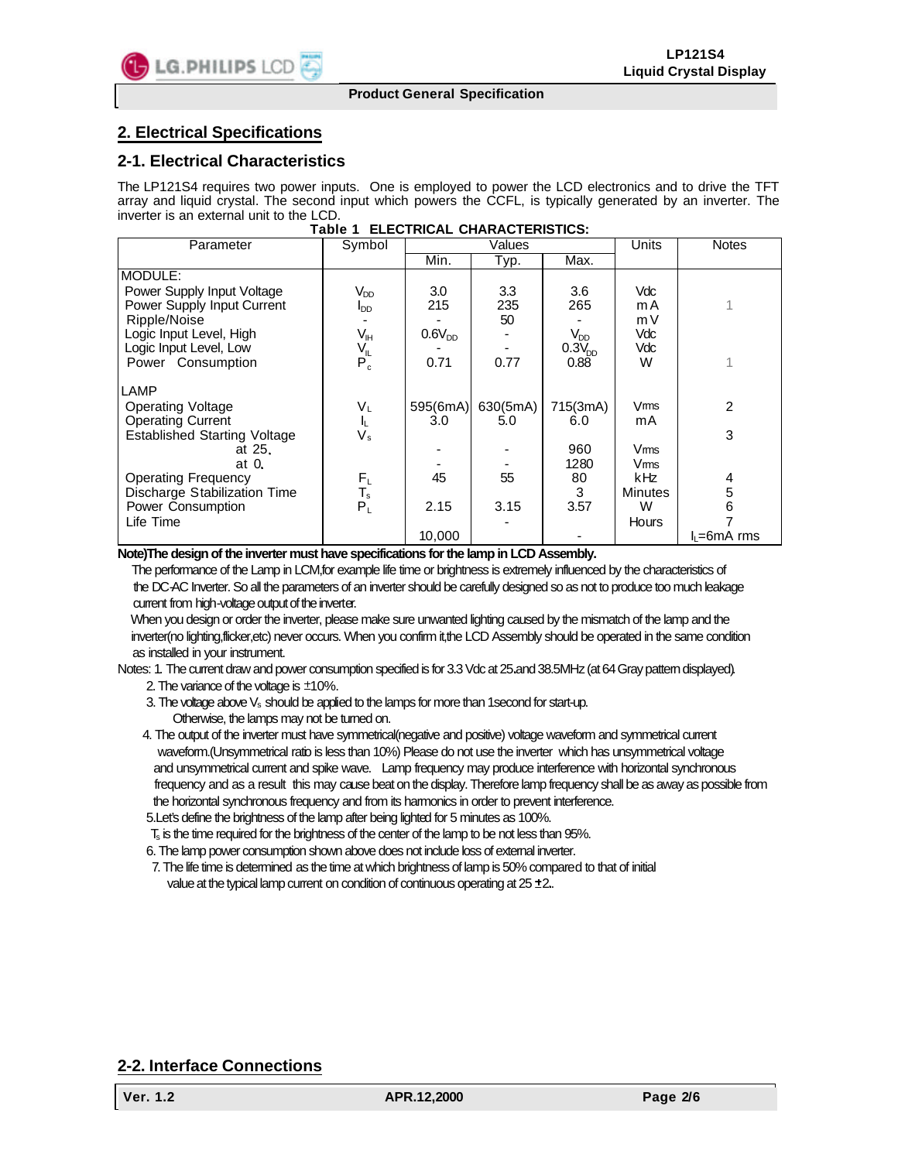# **2. Electrical Specifications**

### **2-1. Electrical Characteristics**

The LP121S4 requires two power inputs. One is employed to power the LCD electronics and to drive the TFT array and liquid crystal. The second input which powers the CCFL, is typically generated by an inverter. The inverter is an external unit to the LCD.

| lable i<br>ELECTRICAL CHARACTERISTICS. |                        |             |          |                    |                |              |  |  |  |
|----------------------------------------|------------------------|-------------|----------|--------------------|----------------|--------------|--|--|--|
| Parameter                              | Symbol                 | Values      |          |                    | Units          | <b>Notes</b> |  |  |  |
|                                        |                        | Min.        | Typ.     | Max.               |                |              |  |  |  |
| MODULE:                                |                        |             |          |                    |                |              |  |  |  |
| Power Supply Input Voltage             | V <sub>DD</sub>        | 3.0         | 3.3      | 3.6                | Vdc            |              |  |  |  |
| Power Supply Input Current             | <b>I</b> <sub>DD</sub> | 215         | 235      | 265                | m A            |              |  |  |  |
| Ripple/Noise                           |                        |             | 50       |                    | m V            |              |  |  |  |
| Logic Input Level, High                | $V_{\sf IH}$           | $0.6V_{DD}$ |          | $V_{DD}$           | Vdc            |              |  |  |  |
| Logic Input Level, Low                 | $V_{IL}$               |             |          | 0.3V <sub>DD</sub> | Vdc            |              |  |  |  |
| Power Consumption                      | $P_c^-$                | 0.71        | 0.77     | 0.88               | W              |              |  |  |  |
| LAMP                                   |                        |             |          |                    |                |              |  |  |  |
| Operating Voltage                      | VL                     | 595(6mA)    | 630(5mA) | 715(3mA)           | Vms            | 2            |  |  |  |
| <b>Operating Current</b>               | IL.                    | 3.0         | 5.0      | 6.0                | mA             |              |  |  |  |
| <b>Established Starting Voltage</b>    | Vs                     |             |          |                    |                | 3            |  |  |  |
| at 25.                                 |                        |             |          | 960                | Vms            |              |  |  |  |
| at $0$ .                               |                        |             |          | 1280               | Vms            |              |  |  |  |
| <b>Operating Frequency</b>             | $F_L$                  | 45          | 55       | 80                 | kHz            | 4            |  |  |  |
| Discharge Stabilization Time           | $T_{\rm s}$            |             |          | 3                  | <b>Minutes</b> | 5            |  |  |  |
| Power Consumption                      | $P_L$                  | 2.15        | 3.15     | 3.57               | W              | 6            |  |  |  |
| Life Time                              |                        |             |          |                    | Hours          |              |  |  |  |
|                                        |                        | 10.000      |          |                    |                | l∟=6mA rms   |  |  |  |

#### **Table 1 ELECTRICAL CHARACTERISTICS:**

**Note)The design of the inverter must have specifications for the lamp in LCD Assembly.**

 The performance of the Lamp in LCM,for example life time or brightness is extremely influenced by the characteristics of the DC-AC Inverter. So all the parameters of an inverter should be carefully designed so as not to produce too much leakage current from high-voltage output of the inverter.

 When you design or order the inverter, please make sure unwanted lighting caused by the mismatch of the lamp and the inverter(no lighting,flicker,etc) never occurs. When you confirm it,the LCD Assembly should be operated in the same condition as installed in your instrument.

Notes: 1. The current draw and power consumption specified is for 3.3 Vdc at 25 and 38.5MHz (at 64 Gray pattern displayed).

- 2. The variance of the voltage is  $\pm 10\%$ .
- 3. The voltage above  $V_s$  should be applied to the lamps for more than 1 second for start-up. Otherwise, the lamps may not be turned on.

 4. The output of the inverter must have symmetrical(negative and positive) voltage waveform and symmetrical current waveform.(Unsymmetrical ratio is less than 10%) Please do not use the inverter which has unsymmetrical voltage and unsymmetrical current and spike wave. Lamp frequency may produce interference with horizontal synchronous frequency and as a result this may cause beat on the display. Therefore lamp frequency shall be as away as possible from the horizontal synchronous frequency and from its harmonics in order to prevent interference.

5.Let's define the brightness of the lamp after being lighted for 5 minutes as 100%.

 $T<sub>s</sub>$  is the time required for the brightness of the center of the lamp to be not less than 95%.

6. The lamp power consumption shown above does not include loss of external inverter.

 7. The life time is determined as the time at which brightness of lamp is 50% compared to that of initial value at the typical lamp current on condition of continuous operating at 25 ±2.

# **2-2. Interface Connections**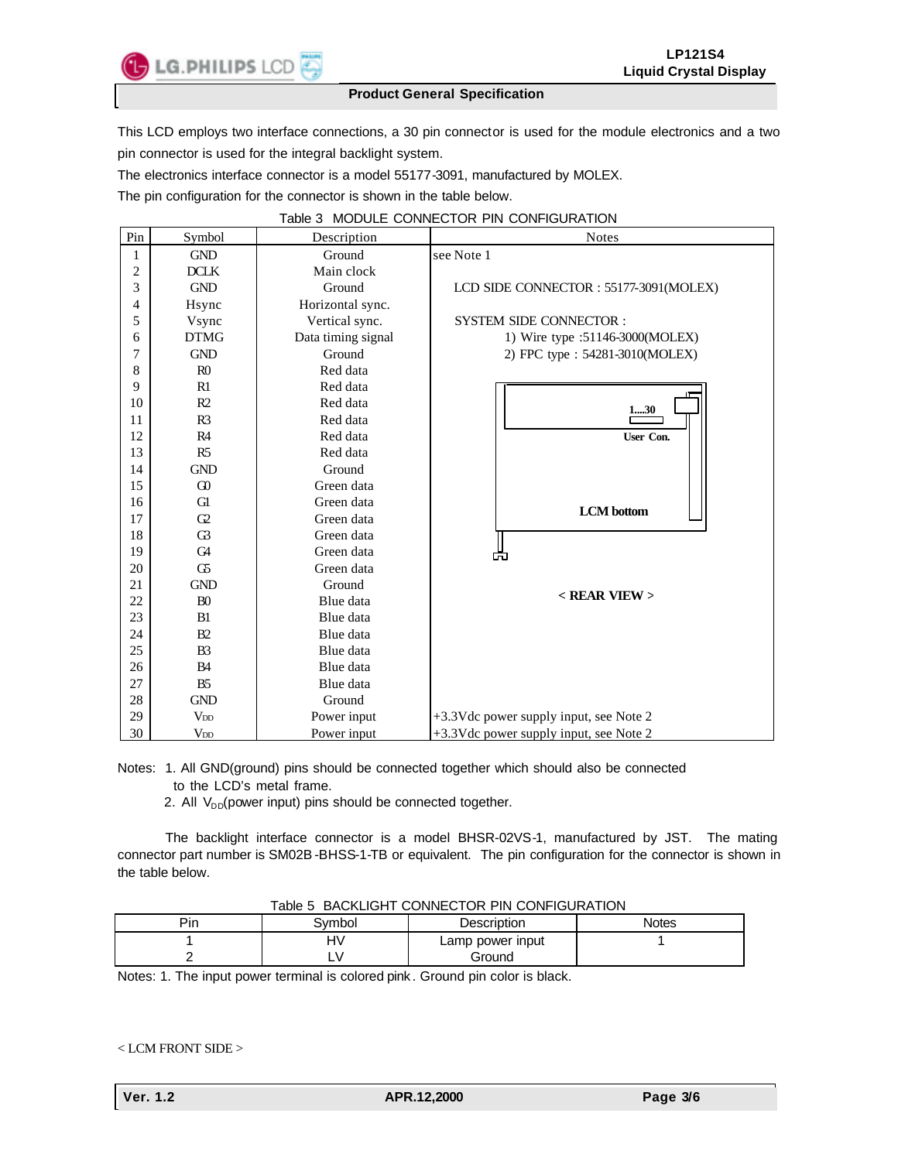

This LCD employs two interface connections, a 30 pin connector is used for the module electronics and a two pin connector is used for the integral backlight system.

The electronics interface connector is a model 55177-3091, manufactured by MOLEX.

The pin configuration for the connector is shown in the table below.

| Pin                     | Symbol          | Description        | <b>Notes</b>                           |  |  |
|-------------------------|-----------------|--------------------|----------------------------------------|--|--|
| 1                       | <b>GND</b>      | Ground             | see Note 1                             |  |  |
| $\overline{\mathbf{c}}$ | <b>DCLK</b>     | Main clock         |                                        |  |  |
| 3                       | <b>GND</b>      | Ground             | LCD SIDE CONNECTOR: 55177-3091(MOLEX)  |  |  |
| 4                       | Hsync           | Horizontal sync.   |                                        |  |  |
| 5                       | Vsync           | Vertical sync.     | <b>SYSTEM SIDE CONNECTOR:</b>          |  |  |
| 6                       | <b>DTMG</b>     | Data timing signal | 1) Wire type :51146-3000(MOLEX)        |  |  |
| 7                       | <b>GND</b>      | Ground             | 2) FPC type : 54281-3010(MOLEX)        |  |  |
| 8                       | R <sub>0</sub>  | Red data           |                                        |  |  |
| 9                       | R1              | Red data           |                                        |  |  |
| 10                      | R2              | Red data           | 130                                    |  |  |
| 11                      | R <sub>3</sub>  | Red data           |                                        |  |  |
| 12                      | R4              | Red data           | User Con.                              |  |  |
| 13                      | R5              | Red data           |                                        |  |  |
| 14                      | <b>GND</b>      | Ground             |                                        |  |  |
| 15                      | $\Omega$        | Green data         |                                        |  |  |
| 16                      | <b>G1</b>       | Green data         | <b>LCM</b> bottom                      |  |  |
| 17                      | G2              | Green data         |                                        |  |  |
| 18                      | $\mathbb{G}$    | Green data         |                                        |  |  |
| 19                      | G <sub>4</sub>  | Green data         | 而                                      |  |  |
| 20                      | G5              | Green data         |                                        |  |  |
| 21                      | <b>GND</b>      | Ground             |                                        |  |  |
| 22                      | B <sub>0</sub>  | Blue data          | $<$ REAR VIEW $>$                      |  |  |
| 23                      | B1              | Blue data          |                                        |  |  |
| 24                      | B2              | Blue data          |                                        |  |  |
| 25                      | B <sub>3</sub>  | Blue data          |                                        |  |  |
| 26                      | <b>B4</b>       | Blue data          |                                        |  |  |
| 27                      | B <sub>5</sub>  | Blue data          |                                        |  |  |
| 28                      | <b>GND</b>      | Ground             |                                        |  |  |
| 29                      | V <sub>DD</sub> | Power input        | +3.3Vdc power supply input, see Note 2 |  |  |
| 30                      | V <sub>DD</sub> | Power input        | +3.3Vdc power supply input, see Note 2 |  |  |

Notes: 1. All GND(ground) pins should be connected together which should also be connected to the LCD's metal frame.

2. All  $V_{DD}$ (power input) pins should be connected together.

 The backlight interface connector is a model BHSR-02VS-1, manufactured by JST. The mating connector part number is SM02B-BHSS-1-TB or equivalent. The pin configuration for the connector is shown in the table below.

| TADIE 3 BAUNLIGHT CONNECTOR PIN CONFIGURATION |        |                  |       |  |  |  |  |
|-----------------------------------------------|--------|------------------|-------|--|--|--|--|
| Pin                                           | 3vmbol | Description      | Notes |  |  |  |  |
|                                               | H٧     | Lamp power input |       |  |  |  |  |
|                                               |        | Ground           |       |  |  |  |  |

Table 5 BACKLIGHT CONNECTOR PIN CONFIGURATION

Notes: 1. The input power terminal is colored pink . Ground pin color is black.

< LCM FRONT SIDE >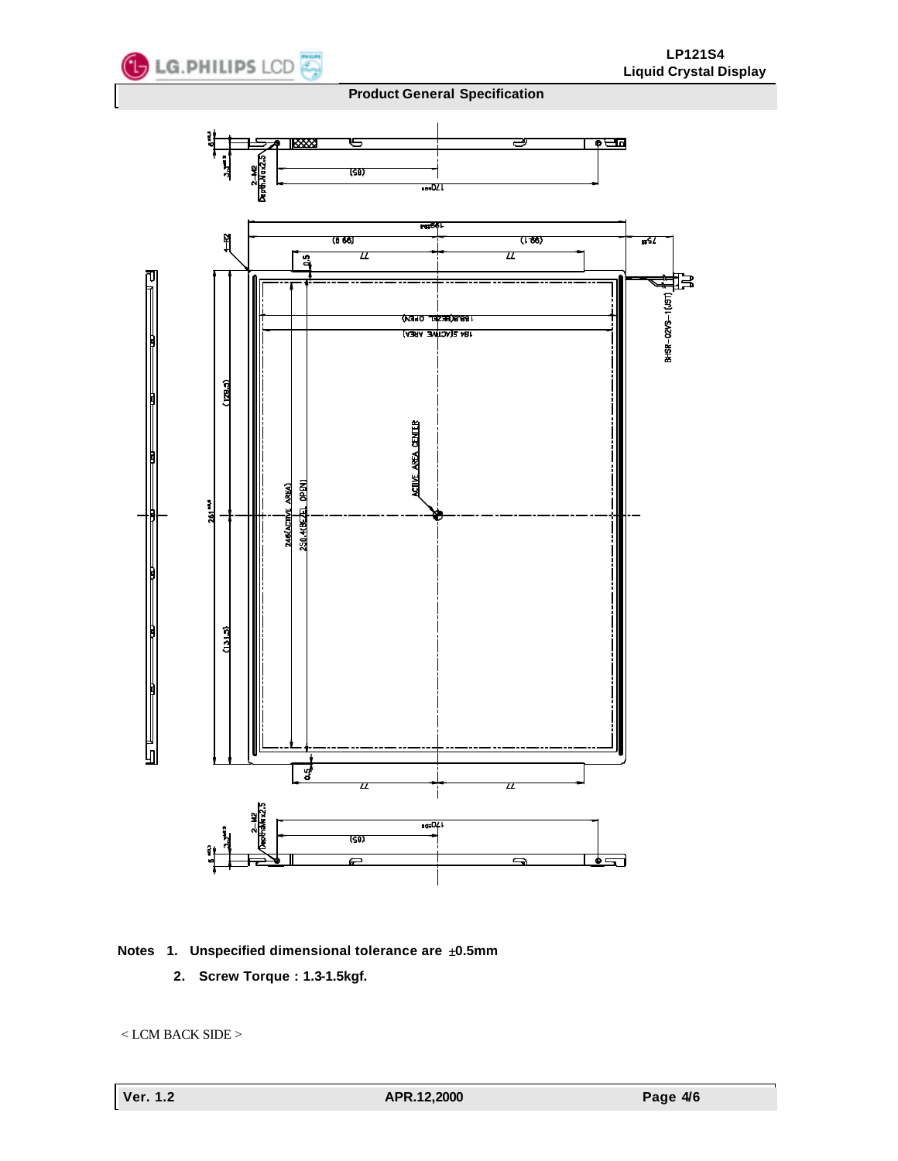

### **Notes 1. Unspecified dimensional tolerance are ±0.5mm**

**2. Screw Torque : 1.3-1.5kgf.**

< LCM BACK SIDE >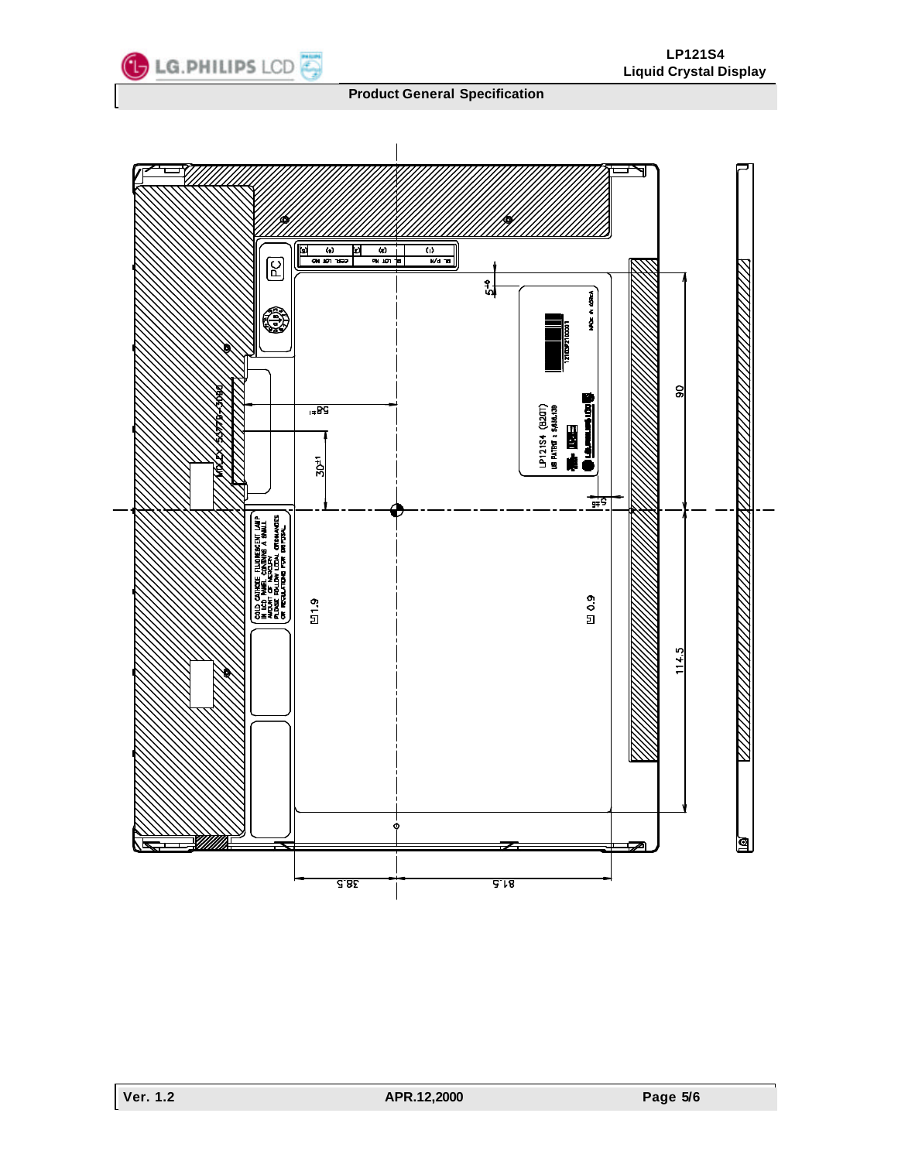